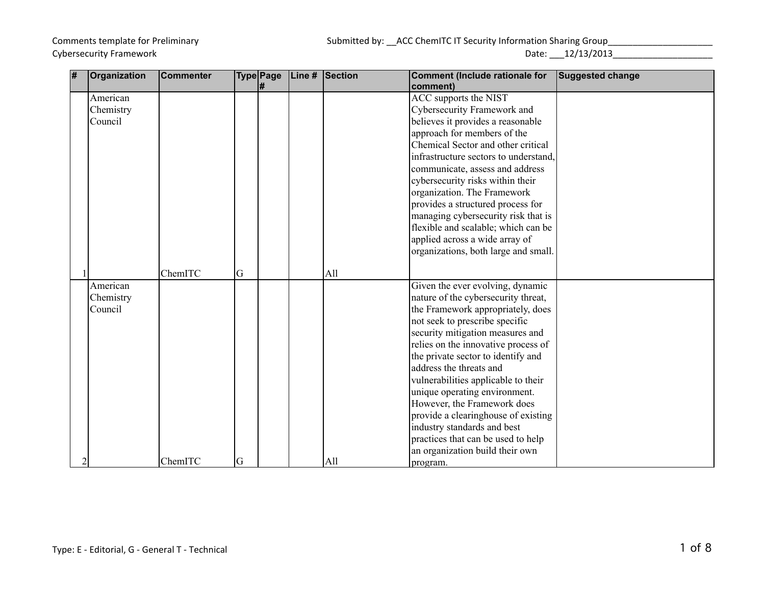## Comments template for Preliminary **Submitted by: \_\_ACC ChemITC IT Security Information Sharing Group**\_\_\_\_\_\_\_\_\_\_\_\_\_\_\_\_\_

Cybersecurity Framework **Date:**  $12/13/2013$ 

| # | Organization | <b>Commenter</b> |   | <b>Type Page</b> | Line # | Section | <b>Comment (Include rationale for</b> | <b>Suggested change</b> |
|---|--------------|------------------|---|------------------|--------|---------|---------------------------------------|-------------------------|
|   |              |                  |   | l#               |        |         | comment)                              |                         |
|   | American     |                  |   |                  |        |         | ACC supports the NIST                 |                         |
|   | Chemistry    |                  |   |                  |        |         | Cybersecurity Framework and           |                         |
|   | Council      |                  |   |                  |        |         | believes it provides a reasonable     |                         |
|   |              |                  |   |                  |        |         | approach for members of the           |                         |
|   |              |                  |   |                  |        |         | Chemical Sector and other critical    |                         |
|   |              |                  |   |                  |        |         | infrastructure sectors to understand. |                         |
|   |              |                  |   |                  |        |         | communicate, assess and address       |                         |
|   |              |                  |   |                  |        |         | cybersecurity risks within their      |                         |
|   |              |                  |   |                  |        |         | organization. The Framework           |                         |
|   |              |                  |   |                  |        |         | provides a structured process for     |                         |
|   |              |                  |   |                  |        |         | managing cybersecurity risk that is   |                         |
|   |              |                  |   |                  |        |         | flexible and scalable; which can be   |                         |
|   |              |                  |   |                  |        |         | applied across a wide array of        |                         |
|   |              |                  |   |                  |        |         | organizations, both large and small.  |                         |
|   |              |                  |   |                  |        |         |                                       |                         |
|   |              | ChemITC          | G |                  |        | All     |                                       |                         |
|   | American     |                  |   |                  |        |         | Given the ever evolving, dynamic      |                         |
|   | Chemistry    |                  |   |                  |        |         | nature of the cybersecurity threat,   |                         |
|   | Council      |                  |   |                  |        |         | the Framework appropriately, does     |                         |
|   |              |                  |   |                  |        |         | not seek to prescribe specific        |                         |
|   |              |                  |   |                  |        |         | security mitigation measures and      |                         |
|   |              |                  |   |                  |        |         | relies on the innovative process of   |                         |
|   |              |                  |   |                  |        |         | the private sector to identify and    |                         |
|   |              |                  |   |                  |        |         | address the threats and               |                         |
|   |              |                  |   |                  |        |         | vulnerabilities applicable to their   |                         |
|   |              |                  |   |                  |        |         | unique operating environment.         |                         |
|   |              |                  |   |                  |        |         | However, the Framework does           |                         |
|   |              |                  |   |                  |        |         | provide a clearinghouse of existing   |                         |
|   |              |                  |   |                  |        |         | industry standards and best           |                         |
|   |              |                  |   |                  |        |         | practices that can be used to help    |                         |
|   |              |                  |   |                  |        |         | an organization build their own       |                         |
|   |              | ChemITC          | G |                  |        | All     | program.                              |                         |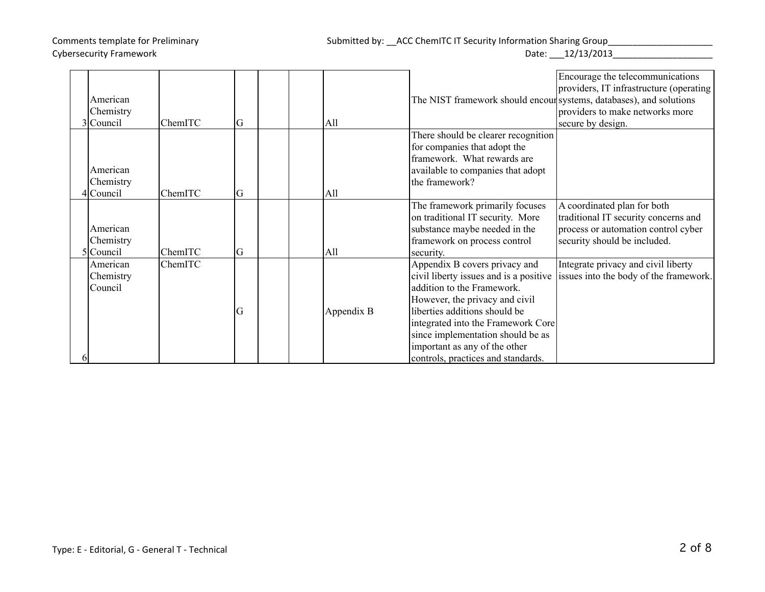## Comments template for Preliminary **Submitted by: \_\_ACC ChemITC IT Security Information Sharing Group**

|           |         |   |            |                                                                     | Encourage the telecommunications        |
|-----------|---------|---|------------|---------------------------------------------------------------------|-----------------------------------------|
|           |         |   |            |                                                                     | providers, IT infrastructure (operating |
| American  |         |   |            | The NIST framework should encour systems, databases), and solutions |                                         |
| Chemistry |         |   |            |                                                                     | providers to make networks more         |
| 3 Council | ChemITC | G | All        |                                                                     | secure by design.                       |
|           |         |   |            | There should be clearer recognition                                 |                                         |
|           |         |   |            | for companies that adopt the                                        |                                         |
|           |         |   |            | framework. What rewards are                                         |                                         |
| American  |         |   |            | available to companies that adopt                                   |                                         |
| Chemistry |         |   |            | the framework?                                                      |                                         |
| lCouncil  | ChemITC | G | All        |                                                                     |                                         |
|           |         |   |            | The framework primarily focuses                                     | A coordinated plan for both             |
|           |         |   |            | on traditional IT security. More                                    | traditional IT security concerns and    |
| American  |         |   |            | substance maybe needed in the                                       | process or automation control cyber     |
| Chemistry |         |   |            | framework on process control                                        | security should be included.            |
| Council   | ChemITC | G | All        | security.                                                           |                                         |
| American  | ChemITC |   |            | Appendix B covers privacy and                                       | Integrate privacy and civil liberty     |
| Chemistry |         |   |            | civil liberty issues and is a positive                              | issues into the body of the framework.  |
| Council   |         |   |            | addition to the Framework.                                          |                                         |
|           |         |   |            | However, the privacy and civil                                      |                                         |
|           |         | G | Appendix B | liberties additions should be                                       |                                         |
|           |         |   |            | integrated into the Framework Core                                  |                                         |
|           |         |   |            | since implementation should be as                                   |                                         |
|           |         |   |            | important as any of the other                                       |                                         |
|           |         |   |            | controls, practices and standards.                                  |                                         |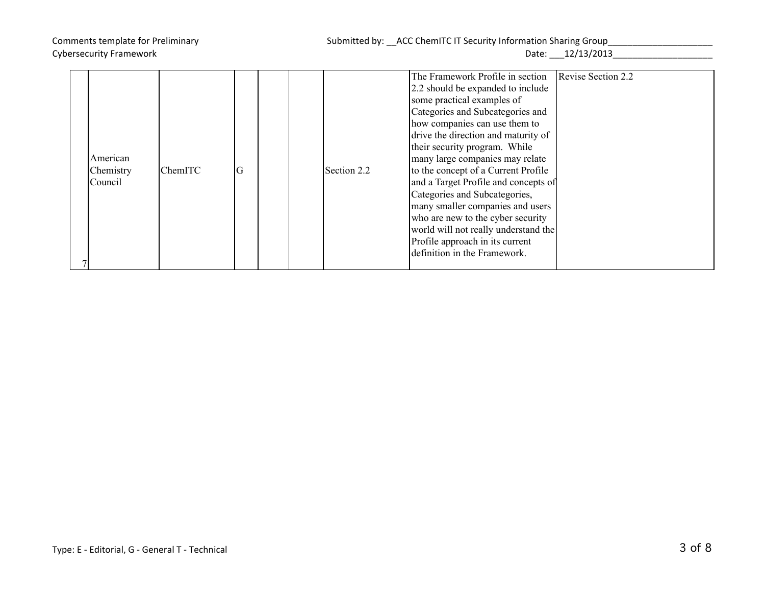| American<br>Chemistry<br>Council | ChemITC | G | Section 2.2 | The Framework Profile in section<br>2.2 should be expanded to include<br>some practical examples of<br>Categories and Subcategories and<br>how companies can use them to<br>drive the direction and maturity of<br>their security program. While<br>many large companies may relate<br>to the concept of a Current Profile<br>and a Target Profile and concepts of<br>Categories and Subcategories, | Revise Section 2.2 |
|----------------------------------|---------|---|-------------|-----------------------------------------------------------------------------------------------------------------------------------------------------------------------------------------------------------------------------------------------------------------------------------------------------------------------------------------------------------------------------------------------------|--------------------|
|                                  |         |   |             |                                                                                                                                                                                                                                                                                                                                                                                                     |                    |
|                                  |         |   |             |                                                                                                                                                                                                                                                                                                                                                                                                     |                    |
|                                  |         |   |             |                                                                                                                                                                                                                                                                                                                                                                                                     |                    |
|                                  |         |   |             |                                                                                                                                                                                                                                                                                                                                                                                                     |                    |
|                                  |         |   |             | many smaller companies and users                                                                                                                                                                                                                                                                                                                                                                    |                    |
|                                  |         |   |             | who are new to the cyber security                                                                                                                                                                                                                                                                                                                                                                   |                    |
|                                  |         |   |             | world will not really understand the                                                                                                                                                                                                                                                                                                                                                                |                    |
|                                  |         |   |             | Profile approach in its current                                                                                                                                                                                                                                                                                                                                                                     |                    |
|                                  |         |   |             | definition in the Framework.                                                                                                                                                                                                                                                                                                                                                                        |                    |
|                                  |         |   |             |                                                                                                                                                                                                                                                                                                                                                                                                     |                    |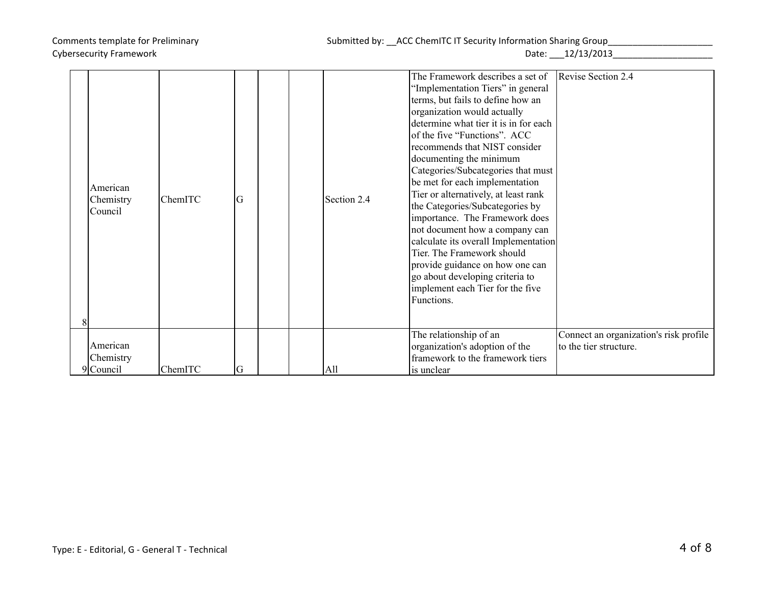| American<br>Chemistry<br>Council | ChemITC | G |  | Section 2.4 | The Framework describes a set of<br>"Implementation Tiers" in general<br>terms, but fails to define how an<br>organization would actually<br>determine what tier it is in for each<br>of the five "Functions". ACC<br>recommends that NIST consider<br>documenting the minimum<br>Categories/Subcategories that must<br>be met for each implementation<br>Tier or alternatively, at least rank<br>the Categories/Subcategories by<br>importance. The Framework does<br>not document how a company can<br>calculate its overall Implementation<br>Tier. The Framework should<br>provide guidance on how one can<br>go about developing criteria to<br>implement each Tier for the five | Revise Section 2.4                                               |
|----------------------------------|---------|---|--|-------------|---------------------------------------------------------------------------------------------------------------------------------------------------------------------------------------------------------------------------------------------------------------------------------------------------------------------------------------------------------------------------------------------------------------------------------------------------------------------------------------------------------------------------------------------------------------------------------------------------------------------------------------------------------------------------------------|------------------------------------------------------------------|
|                                  |         |   |  |             | Functions.                                                                                                                                                                                                                                                                                                                                                                                                                                                                                                                                                                                                                                                                            |                                                                  |
|                                  |         |   |  |             |                                                                                                                                                                                                                                                                                                                                                                                                                                                                                                                                                                                                                                                                                       |                                                                  |
| American                         |         |   |  |             | The relationship of an                                                                                                                                                                                                                                                                                                                                                                                                                                                                                                                                                                                                                                                                | Connect an organization's risk profile<br>to the tier structure. |
| Chemistry                        |         |   |  |             | organization's adoption of the<br>framework to the framework tiers                                                                                                                                                                                                                                                                                                                                                                                                                                                                                                                                                                                                                    |                                                                  |
| $9$ Council                      | ChemITC | G |  | All         | is unclear                                                                                                                                                                                                                                                                                                                                                                                                                                                                                                                                                                                                                                                                            |                                                                  |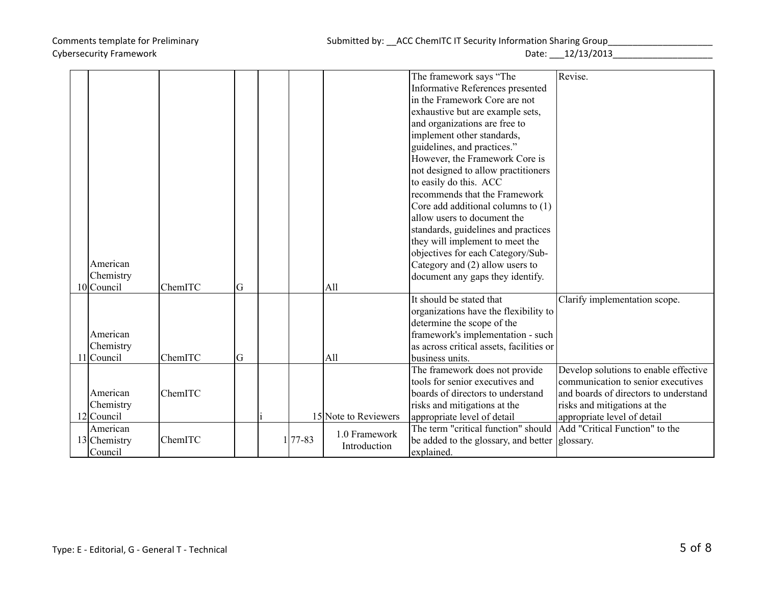|              |         |   |            |                      | The framework says "The                                             | Revise.                                                       |
|--------------|---------|---|------------|----------------------|---------------------------------------------------------------------|---------------------------------------------------------------|
|              |         |   |            |                      | Informative References presented                                    |                                                               |
|              |         |   |            |                      | in the Framework Core are not                                       |                                                               |
|              |         |   |            |                      | exhaustive but are example sets,                                    |                                                               |
|              |         |   |            |                      | and organizations are free to                                       |                                                               |
|              |         |   |            |                      | implement other standards,                                          |                                                               |
|              |         |   |            |                      | guidelines, and practices."                                         |                                                               |
|              |         |   |            |                      | However, the Framework Core is                                      |                                                               |
|              |         |   |            |                      | not designed to allow practitioners                                 |                                                               |
|              |         |   |            |                      | to easily do this. ACC                                              |                                                               |
|              |         |   |            |                      | recommends that the Framework                                       |                                                               |
|              |         |   |            |                      | Core add additional columns to (1)                                  |                                                               |
|              |         |   |            |                      | allow users to document the                                         |                                                               |
|              |         |   |            |                      | standards, guidelines and practices                                 |                                                               |
|              |         |   |            |                      | they will implement to meet the                                     |                                                               |
|              |         |   |            |                      | objectives for each Category/Sub-                                   |                                                               |
| American     |         |   |            |                      |                                                                     |                                                               |
| Chemistry    |         |   |            |                      | Category and (2) allow users to<br>document any gaps they identify. |                                                               |
| 10 Council   | ChemITC | G |            | All                  |                                                                     |                                                               |
|              |         |   |            |                      | It should be stated that                                            | Clarify implementation scope.                                 |
|              |         |   |            |                      | organizations have the flexibility to                               |                                                               |
|              |         |   |            |                      | determine the scope of the                                          |                                                               |
| American     |         |   |            |                      | framework's implementation - such                                   |                                                               |
| Chemistry    |         |   |            |                      | as across critical assets, facilities or                            |                                                               |
| 11 Council   | ChemITC | G |            | All                  | business units.                                                     |                                                               |
|              |         |   |            |                      | The framework does not provide                                      | Develop solutions to enable effective                         |
|              |         |   |            |                      | tools for senior executives and                                     | communication to senior executives                            |
| American     | ChemITC |   |            |                      | boards of directors to understand                                   | and boards of directors to understand                         |
| Chemistry    |         |   |            |                      |                                                                     |                                                               |
| 12 Council   |         |   |            | 15 Note to Reviewers | risks and mitigations at the                                        | risks and mitigations at the                                  |
|              |         |   |            |                      | appropriate level of detail<br>The term "critical function" should  | appropriate level of detail<br>Add "Critical Function" to the |
| American     |         |   | $177 - 83$ | 1.0 Framework        |                                                                     |                                                               |
| 13 Chemistry | ChemITC |   |            | Introduction         | be added to the glossary, and better glossary.                      |                                                               |
| Council      |         |   |            |                      | explained.                                                          |                                                               |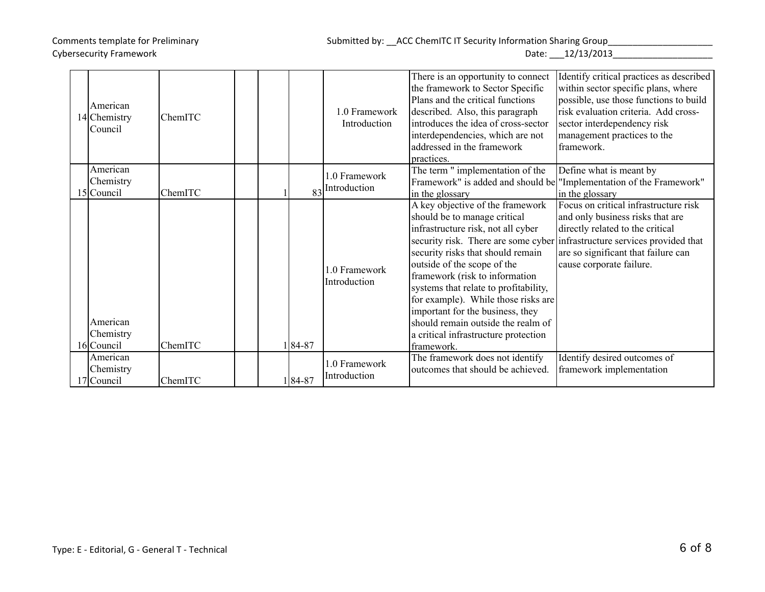| Date: | 12/13/2013 |
|-------|------------|
|-------|------------|

| American<br>14 Chemistry<br>Council | ChemITC |           | 1.0 Framework<br>Introduction | There is an opportunity to connect<br>the framework to Sector Specific<br>Plans and the critical functions<br>described. Also, this paragraph<br>introduces the idea of cross-sector<br>interdependencies, which are not<br>addressed in the framework<br>practices.                                                                                                                                                                                                | Identify critical practices as described<br>within sector specific plans, where<br>possible, use those functions to build<br>risk evaluation criteria. Add cross-<br>sector interdependency risk<br>management practices to the<br>framework. |
|-------------------------------------|---------|-----------|-------------------------------|---------------------------------------------------------------------------------------------------------------------------------------------------------------------------------------------------------------------------------------------------------------------------------------------------------------------------------------------------------------------------------------------------------------------------------------------------------------------|-----------------------------------------------------------------------------------------------------------------------------------------------------------------------------------------------------------------------------------------------|
| American<br>Chemistry<br>15 Council | ChemITC | 83        | 1.0 Framework<br>Introduction | The term " implementation of the<br>in the glossary                                                                                                                                                                                                                                                                                                                                                                                                                 | Define what is meant by<br>Framework" is added and should be "Implementation of the Framework"<br>in the glossary                                                                                                                             |
| American<br>Chemistry<br>16 Council | ChemITC | $84 - 87$ | 1.0 Framework<br>Introduction | A key objective of the framework<br>should be to manage critical<br>infrastructure risk, not all cyber<br>security risk. There are some cyber<br>security risks that should remain<br>outside of the scope of the<br>framework (risk to information<br>systems that relate to profitability,<br>for example). While those risks are<br>important for the business, they<br>should remain outside the realm of<br>a critical infrastructure protection<br>framework. | Focus on critical infrastructure risk<br>and only business risks that are<br>directly related to the critical<br>infrastructure services provided that<br>are so significant that failure can<br>cause corporate failure.                     |
| American<br>Chemistry<br>17 Council | ChemITC | 184-87    | 1.0 Framework<br>Introduction | The framework does not identify<br>outcomes that should be achieved.                                                                                                                                                                                                                                                                                                                                                                                                | Identify desired outcomes of<br>framework implementation                                                                                                                                                                                      |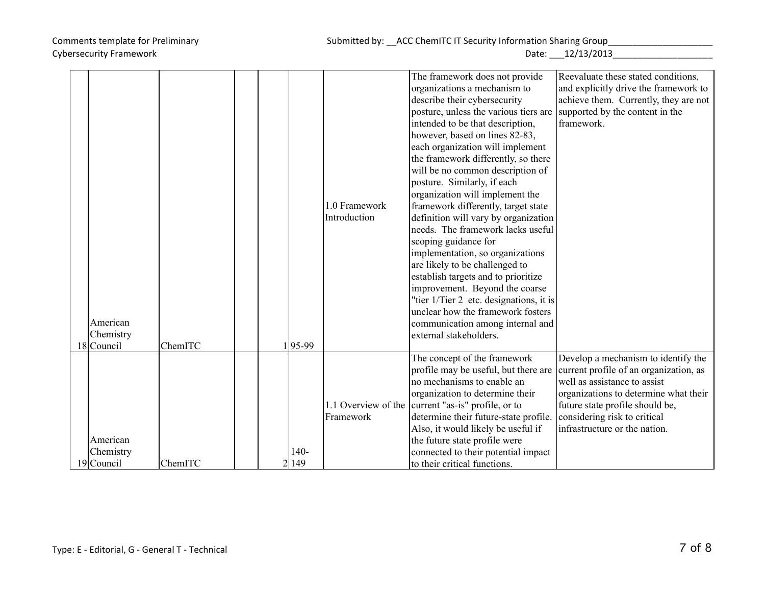|            |         |  |        |               | The framework does not provide                     | Reevaluate these stated conditions,    |
|------------|---------|--|--------|---------------|----------------------------------------------------|----------------------------------------|
|            |         |  |        |               | organizations a mechanism to                       | and explicitly drive the framework to  |
|            |         |  |        |               | describe their cybersecurity                       | achieve them. Currently, they are not  |
|            |         |  |        |               | posture, unless the various tiers are              | supported by the content in the        |
|            |         |  |        |               | intended to be that description,                   | framework.                             |
|            |         |  |        |               | however, based on lines 82-83,                     |                                        |
|            |         |  |        |               | each organization will implement                   |                                        |
|            |         |  |        |               | the framework differently, so there                |                                        |
|            |         |  |        |               | will be no common description of                   |                                        |
|            |         |  |        |               | posture. Similarly, if each                        |                                        |
|            |         |  |        |               | organization will implement the                    |                                        |
|            |         |  |        | 1.0 Framework | framework differently, target state                |                                        |
|            |         |  |        | Introduction  | definition will vary by organization               |                                        |
|            |         |  |        |               | needs. The framework lacks useful                  |                                        |
|            |         |  |        |               | scoping guidance for                               |                                        |
|            |         |  |        |               | implementation, so organizations                   |                                        |
|            |         |  |        |               | are likely to be challenged to                     |                                        |
|            |         |  |        |               | establish targets and to prioritize                |                                        |
|            |         |  |        |               | improvement. Beyond the coarse                     |                                        |
|            |         |  |        |               | "tier 1/Tier 2 etc. designations, it is            |                                        |
|            |         |  |        |               | unclear how the framework fosters                  |                                        |
| American   |         |  |        |               | communication among internal and                   |                                        |
| Chemistry  |         |  |        |               | external stakeholders.                             |                                        |
| 18 Council | ChemITC |  | 195-99 |               |                                                    |                                        |
|            |         |  |        |               | The concept of the framework                       | Develop a mechanism to identify the    |
|            |         |  |        |               | profile may be useful, but there are               | current profile of an organization, as |
|            |         |  |        |               | no mechanisms to enable an                         | well as assistance to assist           |
|            |         |  |        |               | organization to determine their                    | organizations to determine what their  |
|            |         |  |        |               | 1.1 Overview of the current "as-is" profile, or to | future state profile should be,        |
|            |         |  |        | Framework     | determine their future-state profile.              | considering risk to critical           |
|            |         |  |        |               | Also, it would likely be useful if                 | infrastructure or the nation.          |
| American   |         |  |        |               | the future state profile were                      |                                        |
| Chemistry  |         |  | 140-   |               | connected to their potential impact                |                                        |
| 19 Council | ChemITC |  | 2 149  |               | to their critical functions.                       |                                        |